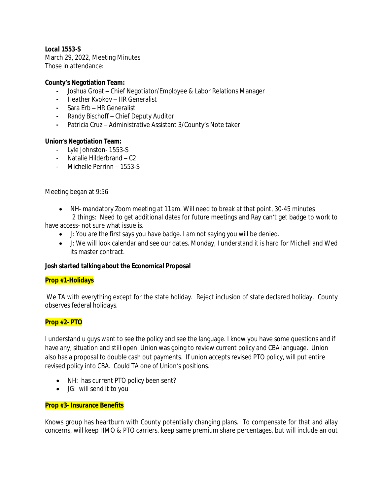# *Local 1553-S*

March 29, 2022, Meeting Minutes Those in attendance:

### **County's Negotiation Team:**

- **-** Joshua Groat Chief Negotiator/Employee & Labor Relations Manager
- **-** Heather Kvokov HR Generalist
- **-** Sara Erb HR Generalist
- **-** Randy Bischoff Chief Deputy Auditor
- **-** Patricia Cruz Administrative Assistant 3/County's Note taker

## **Union's Negotiation Team:**

- Lyle Johnston- 1553-S
- Natalie Hilderbrand C2
- Michelle Perrinn 1553-S

### Meeting began at 9:56

 NH- mandatory Zoom meeting at 11am. Will need to break at that point, 30-45 minutes 2 things: Need to get additional dates for future meetings and Ray can't get badge to work to

have access- not sure what issue is.

- J: You are the first says you have badge. I am not saying you will be denied.
- J: We will look calendar and see our dates. Monday, I understand it is hard for Michell and Wed its master contract.

## **Josh started talking about the Economical Proposal**

#### **Prop #1-Holidays**

We TA with everything except for the state holiday. Reject inclusion of state declared holiday. County observes federal holidays.

## **Prop #2- PTO**

I understand u guys want to see the policy and see the language. I know you have some questions and if have any, situation and still open. Union was going to review current policy and CBA language. Union also has a proposal to double cash out payments. If union accepts revised PTO policy, will put entire revised policy into CBA. Could TA one of Union's positions.

- NH: has current PTO policy been sent?
- JG: will send it to you

## **Prop #3- Insurance Benefits**

Knows group has heartburn with County potentially changing plans. To compensate for that and allay concerns, will keep HMO & PTO carriers, keep same premium share percentages, but will include an out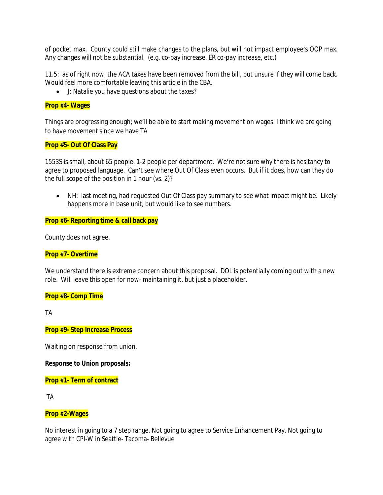of pocket max. County could still make changes to the plans, but will not impact employee's OOP max. Any changes will not be substantial. (e.g. co-pay increase, ER co-pay increase, etc.)

11.5: as of right now, the ACA taxes have been removed from the bill, but unsure if they will come back. Would feel more comfortable leaving this article in the CBA.

J: Natalie you have questions about the taxes?

#### **Prop #4- Wages**

Things are progressing enough; we'll be able to start making movement on wages. I think we are going to have movement since we have TA

#### **Prop #5- Out Of Class Pay**

1553S is small, about 65 people. 1-2 people per department. We're not sure why there is hesitancy to agree to proposed language. Can't see where Out Of Class even occurs. But if it does, how can they do the full scope of the position in 1 hour (vs. 2)?

• NH: last meeting, had requested Out Of Class pay summary to see what impact might be. Likely happens more in base unit, but would like to see numbers.

### **Prop #6- Reporting time & call back pay**

County does not agree.

#### **Prop #7- Overtime**

We understand there is extreme concern about this proposal. DOL is potentially coming out with a new role. Will leave this open for now- maintaining it, but just a placeholder.

#### **Prop #8- Comp Time**

TA

#### **Prop #9- Step Increase Process**

Waiting on response from union.

#### **Response to Union proposals:**

**Prop #1- Term of contract**

TA

## **Prop #2-Wages**

No interest in going to a 7 step range. Not going to agree to Service Enhancement Pay. Not going to agree with CPI-W in Seattle- Tacoma- Bellevue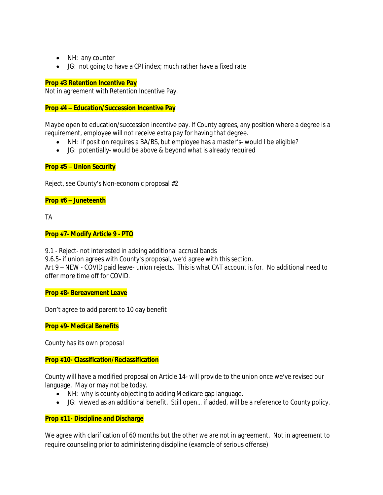- NH: any counter
- JG: not going to have a CPI index; much rather have a fixed rate

## **Prop #3 Retention Incentive Pay**

Not in agreement with Retention Incentive Pay.

## **Prop #4 – Education/Succession Incentive Pay**

Maybe open to education/succession incentive pay. If County agrees, any position where a degree is a requirement, employee will not receive extra pay for having that degree.

- NH: if position requires a BA/BS, but employee has a master's- would I be eligible?
- JG: potentially- would be above & beyond what is already required

## **Prop #5 – Union Security**

Reject, see County's Non-economic proposal #2

## **Prop #6 – Juneteenth**

TA

## **Prop #7- Modify Article 9 - PTO**

9.1 - Reject- not interested in adding additional accrual bands

9.6.5- if union agrees with County's proposal, we'd agree with this section.

Art 9 – NEW - COVID paid leave- union rejects. This is what CAT account is for. No additional need to offer more time off for COVID.

#### **Prop #8- Bereavement Leave**

Don't agree to add parent to 10 day benefit

**Prop #9- Medical Benefits**

County has its own proposal

## **Prop #10- Classification/Reclassification**

County will have a modified proposal on Article 14- will provide to the union once we've revised our language. May or may not be today.

- NH: why is county objecting to adding Medicare gap language.
- JG: viewed as an additional benefit. Still open… if added, will be a reference to County policy.

#### **Prop #11- Discipline and Discharge**

We agree with clarification of 60 months but the other we are not in agreement. Not in agreement to require counseling prior to administering discipline (example of serious offense)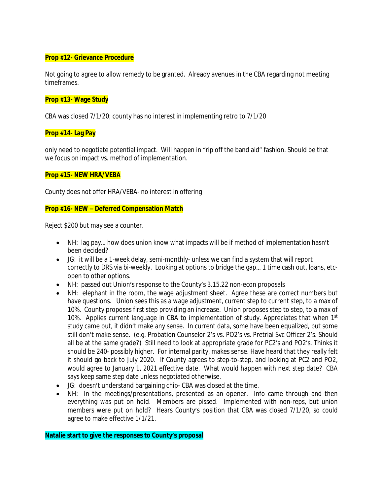#### **Prop #12- Grievance Procedure**

Not going to agree to allow remedy to be granted. Already avenues in the CBA regarding not meeting timeframes.

### **Prop #13- Wage Study**

CBA was closed 7/1/20; county has no interest in implementing retro to 7/1/20

### **Prop #14- Lag Pay**

only need to negotiate potential impact. Will happen in "rip off the band aid" fashion. Should be that we focus on impact vs. method of implementation.

### **Prop #15- NEW HRA/VEBA**

County does not offer HRA/VEBA- no interest in offering

#### **Prop #16- NEW – Deferred Compensation Match**

Reject \$200 but may see a counter.

- NH: lag pay… how does union know what impacts will be if method of implementation hasn't been decided?
- JG: it will be a 1-week delay, semi-monthly- unless we can find a system that will report correctly to DRS via bi-weekly. Looking at options to bridge the gap… 1 time cash out, loans, etcopen to other options.
- NH: passed out Union's response to the County's 3.15.22 non-econ proposals
- NH: elephant in the room, the wage adjustment sheet. Agree these are correct numbers but have questions. Union sees this as a wage adjustment, current step to current step, to a max of 10%. County proposes first step providing an increase. Union proposes step to step, to a max of 10%. Applies current language in CBA to implementation of study. Appreciates that when 1st study came out, it didn't make any sense. In current data, some have been equalized, but some still don't make sense. (e.g. Probation Counselor 2's vs. PO2's vs. Pretrial Svc Officer 2's. Should all be at the same grade?) Still need to look at appropriate grade for PC2's and PO2's. Thinks it should be 240- possibly higher. For internal parity, makes sense. Have heard that they really felt it should go back to July 2020. If County agrees to step-to-step, and looking at PC2 and PO2, would agree to January 1, 2021 effective date. What would happen with next step date? CBA says keep same step date unless negotiated otherwise.
- JG: doesn't understand bargaining chip- CBA was closed at the time.
- NH: In the meetings/presentations, presented as an opener. Info came through and then everything was put on hold. Members are pissed. Implemented with non-reps, but union members were put on hold? Hears County's position that CBA was closed 7/1/20, so could agree to make effective 1/1/21.

**Natalie start to give the responses to County's proposal**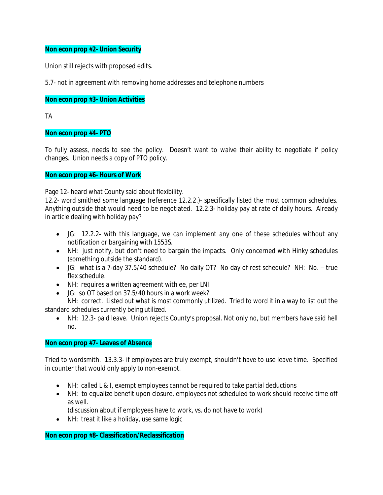## **Non econ prop #2- Union Security**

Union still rejects with proposed edits.

5.7- not in agreement with removing home addresses and telephone numbers

### **Non econ prop #3- Union Activities**

TA

### **Non econ prop #4- PTO**

To fully assess, needs to see the policy. Doesn't want to waive their ability to negotiate if policy changes. Union needs a copy of PTO policy.

### **Non econ prop #6- Hours of Work**

Page 12- heard what County said about flexibility.

12.2- word smithed some language (reference 12.2.2.)- specifically listed the most common schedules. Anything outside that would need to be negotiated. 12.2.3- holiday pay at rate of daily hours. Already in article dealing with holiday pay?

- JG: 12.2.2- with this language, we can implement any one of these schedules without any notification or bargaining with 1553S.
- NH: just notify, but don't need to bargain the impacts. Only concerned with Hinky schedules (something outside the standard).
- JG: what is a 7-day 37.5/40 schedule? No daily OT? No day of rest schedule? NH: No. true flex schedule.
- NH: requires a written agreement with ee, per LNI.
- JG: so OT based on 37.5/40 hours in a work week?

NH: correct. Listed out what is most commonly utilized. Tried to word it in a way to list out the standard schedules currently being utilized.

 NH: 12.3- paid leave. Union rejects County's proposal. Not only no, but members have said hell no.

## **Non econ prop #7- Leaves of Absence**

Tried to wordsmith. 13.3.3- if employees are truly exempt, shouldn't have to use leave time. Specified in counter that would only apply to non-exempt.

- NH: called L & I, exempt employees cannot be required to take partial deductions
- NH: to equalize benefit upon closure, employees not scheduled to work should receive time off as well.
	- (discussion about if employees have to work, vs. do not have to work)
- NH: treat it like a holiday, use same logic

**Non econ prop #8- Classification/Reclassification**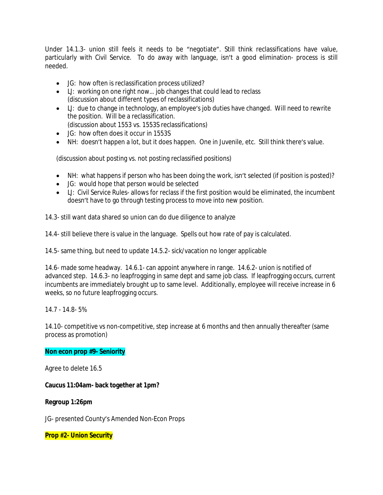Under 14.1.3- union still feels it needs to be "negotiate". Still think reclassifications have value, particularly with Civil Service. To do away with language, isn't a good elimination- process is still needed.

- JG: how often is reclassification process utilized?
- LJ: working on one right now... job changes that could lead to reclass (discussion about different types of reclassifications)
- LJ: due to change in technology, an employee's job duties have changed. Will need to rewrite the position. Will be a reclassification.
	- (discussion about 1553 vs. 1553S reclassifications)
- JG: how often does it occur in 1553S
- NH: doesn't happen a lot, but it does happen. One in Juvenile, etc. Still think there's value.

(discussion about posting vs. not posting reclassified positions)

- NH: what happens if person who has been doing the work, isn't selected (if position is posted)?
- JG: would hope that person would be selected
- LJ: Civil Service Rules- allows for reclass if the first position would be eliminated, the incumbent doesn't have to go through testing process to move into new position.

14.3- still want data shared so union can do due diligence to analyze

14.4- still believe there is value in the language. Spells out how rate of pay is calculated.

14.5- same thing, but need to update 14.5.2- sick/vacation no longer applicable

14.6- made some headway. 14.6.1- can appoint anywhere in range. 14.6.2- union is notified of advanced step. 14.6.3- no leapfrogging in same dept and same job class. If leapfrogging occurs, current incumbents are immediately brought up to same level. Additionally, employee will receive increase in 6 weeks, so no future leapfrogging occurs.

14.7 - 14.8- 5%

14.10- competitive vs non-competitive, step increase at 6 months and then annually thereafter (same process as promotion)

#### **Non econ prop #9- Seniority**

Agree to delete 16.5

**Caucus 11:04am- back together at 1pm?**

**Regroup 1:26pm**

JG- presented County's Amended Non-Econ Props

**Prop #2- Union Security**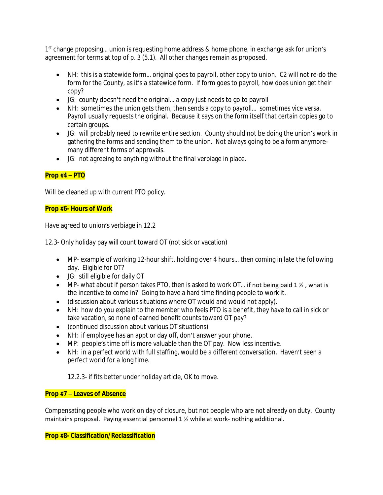1<sup>st</sup> change proposing... union is requesting home address & home phone, in exchange ask for union's agreement for terms at top of p. 3 (5.1). All other changes remain as proposed.

- NH: this is a statewide form… original goes to payroll, other copy to union. C2 will not re-do the form for the County, as it's a statewide form. If form goes to payroll, how does union get their copy?
- JG: county doesn't need the original… a copy just needs to go to payroll
- NH: sometimes the union gets them, then sends a copy to payroll... sometimes vice versa. Payroll usually requests the original. Because it says on the form itself that certain copies go to certain groups.
- JG: will probably need to rewrite entire section. County should not be doing the union's work in gathering the forms and sending them to the union. Not always going to be a form anymoremany different forms of approvals.
- JG: not agreeing to anything without the final verbiage in place.

# **Prop #4 – PTO**

Will be cleaned up with current PTO policy.

## **Prop #6- Hours of Work**

Have agreed to union's verbiage in 12.2

12.3- Only holiday pay will count toward OT (not sick or vacation)

- MP- example of working 12-hour shift, holding over 4 hours… then coming in late the following day. Eligible for OT?
- JG: still eligible for daily OT
- $\bullet$  MP- what about if person takes PTO, then is asked to work OT... if not being paid 1  $\frac{1}{2}$ , what is the incentive to come in? Going to have a hard time finding people to work it.
- (discussion about various situations where OT would and would not apply).
- NH: how do you explain to the member who feels PTO is a benefit, they have to call in sick or take vacation, so none of earned benefit counts toward OT pay?
- (continued discussion about various OT situations)
- NH: if employee has an appt or day off, don't answer your phone.
- MP: people's time off is more valuable than the OT pay. Now less incentive.
- NH: in a perfect world with full staffing, would be a different conversation. Haven't seen a perfect world for a long time.

12.2.3- if fits better under holiday article, OK to move.

# **Prop #7 – Leaves of Absence**

Compensating people who work on day of closure, but not people who are not already on duty. County maintains proposal. Paying essential personnel 1 ½ while at work- nothing additional.

# **Prop #8- Classification/Reclassification**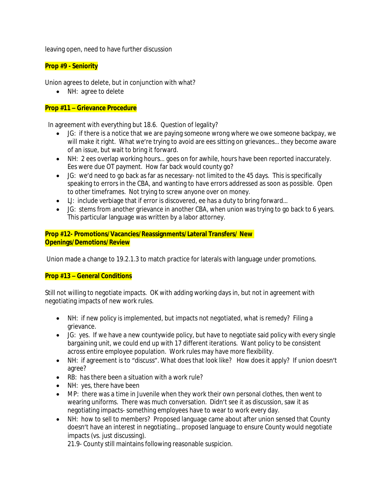leaving open, need to have further discussion

## **Prop #9 - Seniority**

Union agrees to delete, but in conjunction with what?

• NH: agree to delete

## **Prop #11 – Grievance Procedure**

In agreement with everything but 18.6. Question of legality?

- JG: if there is a notice that we are paying someone wrong where we owe someone backpay, we will make it right. What we're trying to avoid are ees sitting on grievances... they become aware of an issue, but wait to bring it forward.
- NH: 2 ees overlap working hours… goes on for awhile, hours have been reported inaccurately. Ees were due OT payment. How far back would county go?
- JG: we'd need to go back as far as necessary- not limited to the 45 days. This is specifically speaking to errors in the CBA, and wanting to have errors addressed as soon as possible. Open to other timeframes. Not trying to screw anyone over on money.
- LJ: include verbiage that if error is discovered, ee has a duty to bring forward...
- JG: stems from another grievance in another CBA, when union was trying to go back to 6 years. This particular language was written by a labor attorney.

# **Prop #12- Promotions/Vacancies/Reassignments/Lateral Transfers/ New Openings/Demotions/Review**

Union made a change to 19.2.1.3 to match practice for laterals with language under promotions.

## **Prop #13 – General Conditions**

Still not willing to negotiate impacts. OK with adding working days in, but not in agreement with negotiating impacts of new work rules.

- NH: if new policy is implemented, but impacts not negotiated, what is remedy? Filing a grievance.
- JG: yes. If we have a new countywide policy, but have to negotiate said policy with every single bargaining unit, we could end up with 17 different iterations. Want policy to be consistent across entire employee population. Work rules may have more flexibility.
- NH: if agreement is to "discuss". What does that look like? How does it apply? If union doesn't agree?
- RB: has there been a situation with a work rule?
- NH: yes, there have been
- MP: there was a time in Juvenile when they work their own personal clothes, then went to wearing uniforms. There was much conversation. Didn't see it as discussion, saw it as negotiating impacts- something employees have to wear to work every day.
- NH: how to sell to members? Proposed language came about after union sensed that County doesn't have an interest in negotiating… proposed language to ensure County would negotiate impacts (vs. just discussing).

21.9- County still maintains following reasonable suspicion.